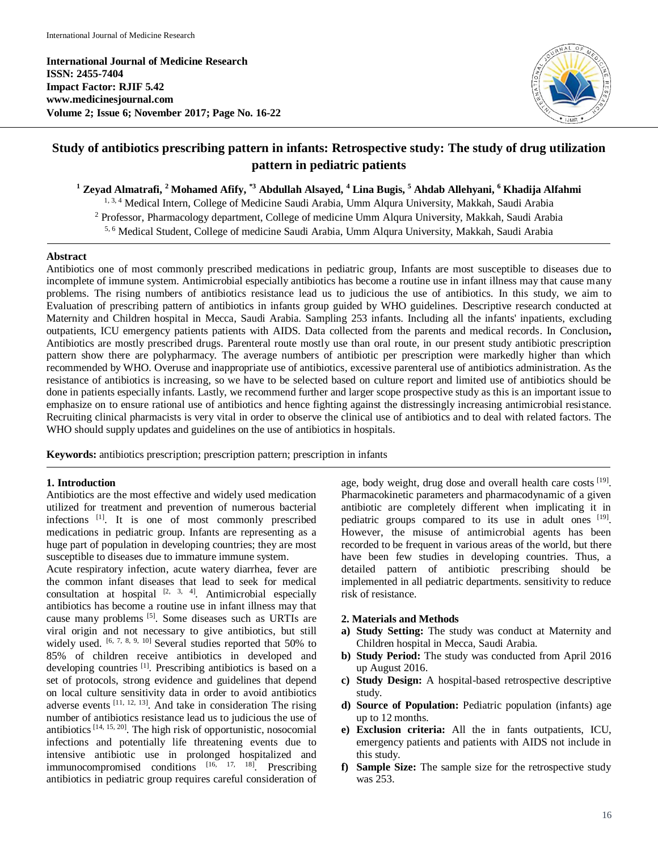**International Journal of Medicine Research ISSN: 2455-7404 Impact Factor: RJIF 5.42 www.medicinesjournal.com Volume 2; Issue 6; November 2017; Page No. 16-22**



# **Study of antibiotics prescribing pattern in infants: Retrospective study: The study of drug utilization pattern in pediatric patients**

**<sup>1</sup> Zeyad Almatrafi, <sup>2</sup> Mohamed Afify, \*3 Abdullah Alsayed, <sup>4</sup> Lina Bugis, <sup>5</sup> Ahdab Allehyani, <sup>6</sup> Khadija Alfahmi**

1, 3, 4 Medical Intern, College of Medicine Saudi Arabia, Umm Alqura University, Makkah, Saudi Arabia

<sup>2</sup> Professor, Pharmacology department, College of medicine Umm Alqura University, Makkah, Saudi Arabia

5, 6 Medical Student, College of medicine Saudi Arabia, Umm Alqura University, Makkah, Saudi Arabia

# **Abstract**

Antibiotics one of most commonly prescribed medications in pediatric group, Infants are most susceptible to diseases due to incomplete of immune system. Antimicrobial especially antibiotics has become a routine use in infant illness may that cause many problems. The rising numbers of antibiotics resistance lead us to judicious the use of antibiotics. In this study, we aim to Evaluation of prescribing pattern of antibiotics in infants group guided by WHO guidelines. Descriptive research conducted at Maternity and Children hospital in Mecca, Saudi Arabia. Sampling 253 infants. Including all the infants' inpatients, excluding outpatients, ICU emergency patients patients with AIDS. Data collected from the parents and medical records. In Conclusion**,**  Antibiotics are mostly prescribed drugs. Parenteral route mostly use than oral route, in our present study antibiotic prescription pattern show there are polypharmacy. The average numbers of antibiotic per prescription were markedly higher than which recommended by WHO. Overuse and inappropriate use of antibiotics, excessive parenteral use of antibiotics administration. As the resistance of antibiotics is increasing, so we have to be selected based on culture report and limited use of antibiotics should be done in patients especially infants. Lastly, we recommend further and larger scope prospective study as this is an important issue to emphasize on to ensure rational use of antibiotics and hence fighting against the distressingly increasing antimicrobial resistance. Recruiting clinical pharmacists is very vital in order to observe the clinical use of antibiotics and to deal with related factors. The WHO should supply updates and guidelines on the use of antibiotics in hospitals.

**Keywords:** antibiotics prescription; prescription pattern; prescription in infants

# **1. Introduction**

Antibiotics are the most effective and widely used medication utilized for treatment and prevention of numerous bacterial infections [1]. It is one of most commonly prescribed medications in pediatric group. Infants are representing as a huge part of population in developing countries; they are most susceptible to diseases due to immature immune system.

Acute respiratory infection, acute watery diarrhea, fever are the common infant diseases that lead to seek for medical consultation at hospital  $[2, 3, 4]$ . Antimicrobial especially antibiotics has become a routine use in infant illness may that cause many problems [5] . Some diseases such as URTIs are viral origin and not necessary to give antibiotics, but still widely used. <sup>[6, 7, 8, 9, 10]</sup> Several studies reported that 50% to 85% of children receive antibiotics in developed and developing countries [1]. Prescribing antibiotics is based on a set of protocols, strong evidence and guidelines that depend on local culture sensitivity data in order to avoid antibiotics adverse events  $[11, 12, 13]$ . And take in consideration The rising number of antibiotics resistance lead us to judicious the use of antibiotics  $[14, 15, 20]$ . The high risk of opportunistic, nosocomial infections and potentially life threatening events due to intensive antibiotic use in prolonged hospitalized and immunocompromised conditions [16, 17, 18]. Prescribing antibiotics in pediatric group requires careful consideration of

age, body weight, drug dose and overall health care costs [19]. Pharmacokinetic parameters and pharmacodynamic of a given antibiotic are completely different when implicating it in pediatric groups compared to its use in adult ones [19]. However, the misuse of antimicrobial agents has been recorded to be frequent in various areas of the world, but there have been few studies in developing countries. Thus, a detailed pattern of antibiotic prescribing should be implemented in all pediatric departments. sensitivity to reduce risk of resistance.

# **2. Materials and Methods**

- **a) Study Setting:** The study was conduct at Maternity and Children hospital in Mecca, Saudi Arabia.
- **b) Study Period:** The study was conducted from April 2016 up August 2016.
- **c) Study Design:** A hospital-based retrospective descriptive study.
- **d) Source of Population:** Pediatric population (infants) age up to 12 months.
- **e) Exclusion criteria:** All the in fants outpatients, ICU, emergency patients and patients with AIDS not include in this study.
- **f) Sample Size:** The sample size for the retrospective study was 253.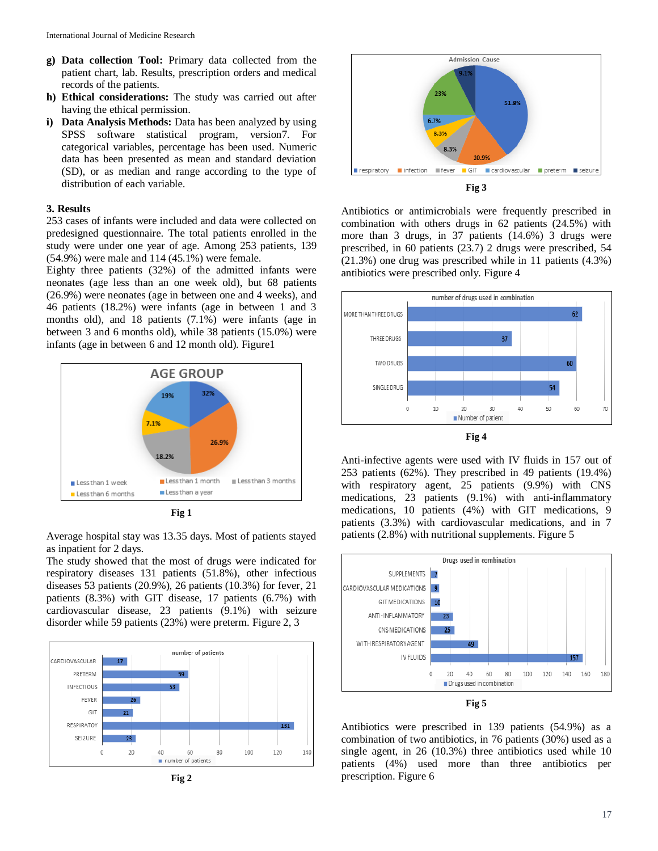- **g) Data collection Tool:** Primary data collected from the patient chart, lab. Results, prescription orders and medical records of the patients.
- **h) Ethical considerations:** The study was carried out after having the ethical permission.
- **i) Data Analysis Methods:** Data has been analyzed by using SPSS software statistical program, version7. For categorical variables, percentage has been used. Numeric data has been presented as mean and standard deviation (SD), or as median and range according to the type of distribution of each variable.

# **3. Results**

253 cases of infants were included and data were collected on predesigned questionnaire. The total patients enrolled in the study were under one year of age. Among 253 patients, 139 (54.9%) were male and 114 (45.1%) were female.

Eighty three patients (32%) of the admitted infants were neonates (age less than an one week old), but 68 patients (26.9%) were neonates (age in between one and 4 weeks), and 46 patients (18.2%) were infants (age in between 1 and 3 months old), and 18 patients (7.1%) were infants (age in between 3 and 6 months old), while 38 patients (15.0%) were infants (age in between 6 and 12 month old). Figure1



**Fig 1**

Average hospital stay was 13.35 days. Most of patients stayed as inpatient for 2 days.

The study showed that the most of drugs were indicated for respiratory diseases 131 patients (51.8%), other infectious diseases 53 patients (20.9%), 26 patients (10.3%) for fever, 21 patients (8.3%) with GIT disease, 17 patients (6.7%) with cardiovascular disease, 23 patients (9.1%) with seizure disorder while 59 patients (23%) were preterm. Figure 2, 3







Antibiotics or antimicrobials were frequently prescribed in combination with others drugs in 62 patients (24.5%) with more than 3 drugs, in 37 patients (14.6%) 3 drugs were prescribed, in 60 patients (23.7) 2 drugs were prescribed, 54 (21.3%) one drug was prescribed while in 11 patients (4.3%) antibiotics were prescribed only. Figure 4



Anti-infective agents were used with IV fluids in 157 out of 253 patients (62%). They prescribed in 49 patients (19.4%) with respiratory agent, 25 patients (9.9%) with CNS medications, 23 patients (9.1%) with anti-inflammatory medications, 10 patients (4%) with GIT medications, 9 patients (3.3%) with cardiovascular medications, and in 7 patients (2.8%) with nutritional supplements. Figure 5



Antibiotics were prescribed in 139 patients (54.9%) as a combination of two antibiotics, in 76 patients (30%) used as a single agent, in 26 (10.3%) three antibiotics used while 10 patients (4%) used more than three antibiotics per prescription. Figure 6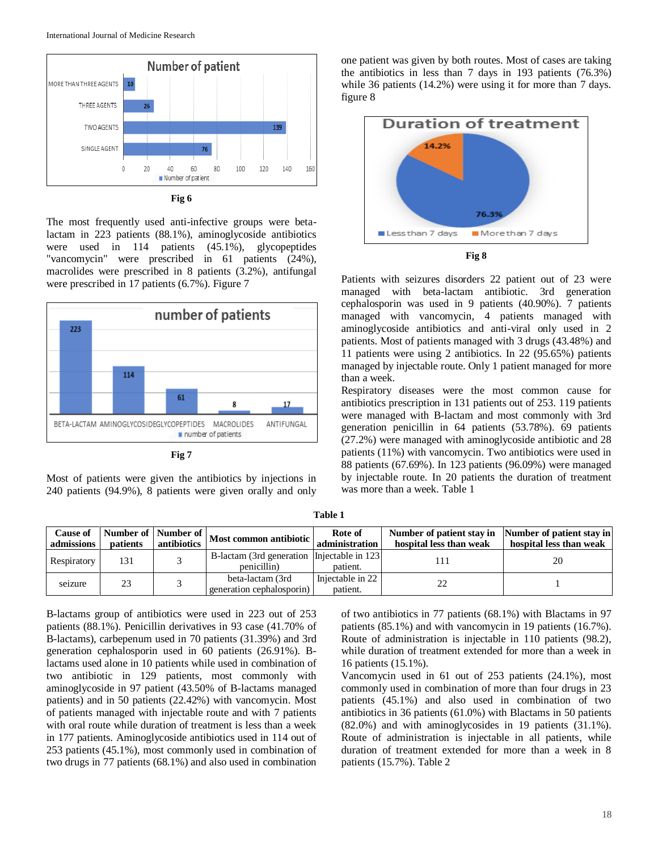



The most frequently used anti-infective groups were betalactam in 223 patients (88.1%), aminoglycoside antibiotics were used in 114 patients (45.1%), glycopeptides "vancomycin" were prescribed in 61 patients (24%), macrolides were prescribed in 8 patients (3.2%), antifungal were prescribed in 17 patients (6.7%). Figure 7



**Fig 7**

Most of patients were given the antibiotics by injections in 240 patients (94.9%), 8 patients were given orally and only one patient was given by both routes. Most of cases are taking the antibiotics in less than 7 days in 193 patients (76.3%) while 36 patients (14.2%) were using it for more than 7 days. figure 8



Patients with seizures disorders 22 patient out of 23 were managed with beta-lactam antibiotic. 3rd generation cephalosporin was used in 9 patients (40.90%). 7 patients managed with vancomycin, 4 patients managed with aminoglycoside antibiotics and anti-viral only used in 2 patients. Most of patients managed with 3 drugs (43.48%) and 11 patients were using 2 antibiotics. In 22 (95.65%) patients managed by injectable route. Only 1 patient managed for more than a week.

Respiratory diseases were the most common cause for antibiotics prescription in 131 patients out of 253. 119 patients were managed with B-lactam and most commonly with 3rd generation penicillin in 64 patients (53.78%). 69 patients (27.2%) were managed with aminoglycoside antibiotic and 28 patients (11%) with vancomycin. Two antibiotics were used in 88 patients (67.69%). In 123 patients (96.09%) were managed by injectable route. In 20 patients the duration of treatment was more than a week. Table 1

| <b>Cause of</b><br>admissions | patients | antibiotics | $\frac{1}{2}$ Number of Number of Most common antibiotic   | Rote of<br>administration    | Number of patient stay in Number of patient stay in<br>hospital less than weak | hospital less than weak |  |
|-------------------------------|----------|-------------|------------------------------------------------------------|------------------------------|--------------------------------------------------------------------------------|-------------------------|--|
| Respiratory                   | 131      |             | B-lactam (3rd generation Injectable in 123)<br>penicillin) | patient.                     | Ш.                                                                             | 20                      |  |
| seizure                       | 23       |             | beta-lactam (3rd<br>generation cephalosporin)              | Injectable in 22<br>patient. | 22                                                                             |                         |  |

**Table 1**

B-lactams group of antibiotics were used in 223 out of 253 patients (88.1%). Penicillin derivatives in 93 case (41.70% of B-lactams), carbepenum used in 70 patients (31.39%) and 3rd generation cephalosporin used in 60 patients (26.91%). Blactams used alone in 10 patients while used in combination of two antibiotic in 129 patients, most commonly with aminoglycoside in 97 patient (43.50% of B-lactams managed patients) and in 50 patients (22.42%) with vancomycin. Most of patients managed with injectable route and with 7 patients with oral route while duration of treatment is less than a week in 177 patients. Aminoglycoside antibiotics used in 114 out of 253 patients (45.1%), most commonly used in combination of two drugs in 77 patients (68.1%) and also used in combination

of two antibiotics in 77 patients (68.1%) with Blactams in 97 patients (85.1%) and with vancomycin in 19 patients (16.7%). Route of administration is injectable in 110 patients (98.2), while duration of treatment extended for more than a week in 16 patients (15.1%).

Vancomycin used in 61 out of 253 patients (24.1%), most commonly used in combination of more than four drugs in 23 patients (45.1%) and also used in combination of two antibiotics in 36 patients (61.0%) with Blactams in 50 patients (82.0%) and with aminoglycosides in 19 patients (31.1%). Route of administration is injectable in all patients, while duration of treatment extended for more than a week in 8 patients (15.7%). Table 2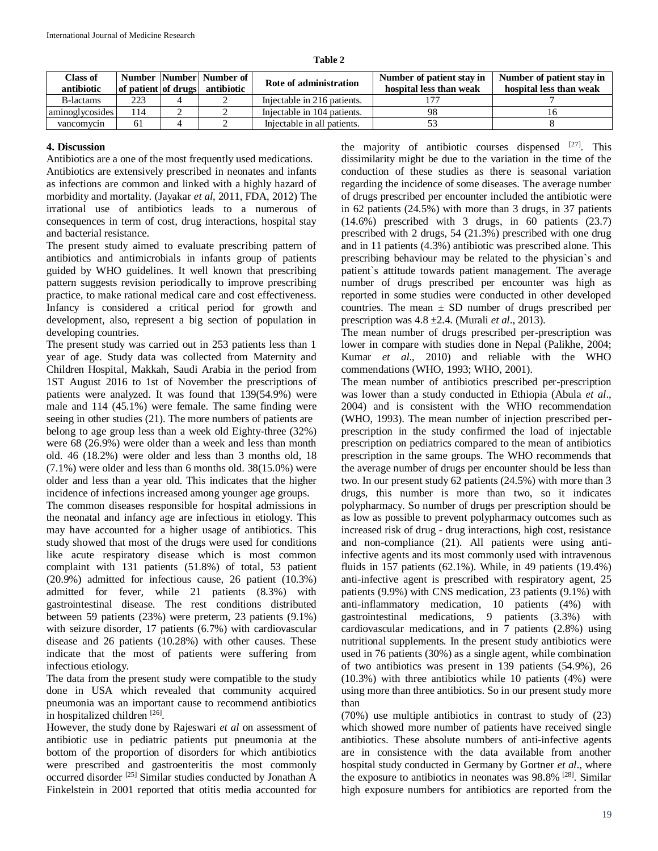| н<br>ш |  |
|--------|--|
|--------|--|

| Class of<br>antibiotic | of patient of drugs | Number   Number   Number of  <br>antibiotic | Rote of administration      | Number of patient stay in<br>hospital less than weak | Number of patient stay in<br>hospital less than weak |
|------------------------|---------------------|---------------------------------------------|-----------------------------|------------------------------------------------------|------------------------------------------------------|
| <b>B</b> -lactams      | 223                 |                                             | Injectable in 216 patients. |                                                      |                                                      |
| aminoglycosides        | l 14                |                                             | Injectable in 104 patients. |                                                      |                                                      |
| vancomvcin             | 61                  |                                             | Injectable in all patients. |                                                      |                                                      |

#### **4. Discussion**

Antibiotics are a one of the most frequently used medications. Antibiotics are extensively prescribed in neonates and infants as infections are common and linked with a highly hazard of morbidity and mortality. (Jayakar *et al*, 2011, FDA, 2012) The irrational use of antibiotics leads to a numerous of consequences in term of cost, drug interactions, hospital stay and bacterial resistance.

The present study aimed to evaluate prescribing pattern of antibiotics and antimicrobials in infants group of patients guided by WHO guidelines. It well known that prescribing pattern suggests revision periodically to improve prescribing practice, to make rational medical care and cost effectiveness. Infancy is considered a critical period for growth and development, also, represent a big section of population in developing countries.

The present study was carried out in 253 patients less than 1 year of age. Study data was collected from Maternity and Children Hospital, Makkah, Saudi Arabia in the period from 1ST August 2016 to 1st of November the prescriptions of patients were analyzed. It was found that 139(54.9%) were male and 114 (45.1%) were female. The same finding were seeing in other studies (21). The more numbers of patients are belong to age group less than a week old Eighty-three (32%) were 68 (26.9%) were older than a week and less than month old. 46 (18.2%) were older and less than 3 months old, 18 (7.1%) were older and less than 6 months old. 38(15.0%) were older and less than a year old. This indicates that the higher incidence of infections increased among younger age groups.

The common diseases responsible for hospital admissions in the neonatal and infancy age are infectious in etiology. This may have accounted for a higher usage of antibiotics. This study showed that most of the drugs were used for conditions like acute respiratory disease which is most common complaint with 131 patients (51.8%) of total, 53 patient (20.9%) admitted for infectious cause, 26 patient (10.3%) admitted for fever, while 21 patients (8.3%) with gastrointestinal disease. The rest conditions distributed between 59 patients (23%) were preterm, 23 patients (9.1%) with seizure disorder, 17 patients (6.7%) with cardiovascular disease and 26 patients (10.28%) with other causes. These indicate that the most of patients were suffering from infectious etiology.

The data from the present study were compatible to the study done in USA which revealed that community acquired pneumonia was an important cause to recommend antibiotics in hospitalized children [26].

However, the study done by Rajeswari *et al* on assessment of antibiotic use in pediatric patients put pneumonia at the bottom of the proportion of disorders for which antibiotics were prescribed and gastroenteritis the most commonly occurred disorder [25] Similar studies conducted by Jonathan A Finkelstein in 2001 reported that otitis media accounted for

the majority of antibiotic courses dispensed  $[27]$ . This dissimilarity might be due to the variation in the time of the conduction of these studies as there is seasonal variation regarding the incidence of some diseases. The average number of drugs prescribed per encounter included the antibiotic were in 62 patients (24.5%) with more than 3 drugs, in 37 patients (14.6%) prescribed with 3 drugs, in 60 patients (23.7) prescribed with 2 drugs, 54 (21.3%) prescribed with one drug and in 11 patients (4.3%) antibiotic was prescribed alone. This prescribing behaviour may be related to the physician`s and patient`s attitude towards patient management. The average number of drugs prescribed per encounter was high as reported in some studies were conducted in other developed countries. The mean  $\pm$  SD number of drugs prescribed per prescription was 4.8 ±2.4. (Murali *et al*., 2013).

The mean number of drugs prescribed per-prescription was lower in compare with studies done in Nepal (Palikhe, 2004; Kumar *et al*., 2010) and reliable with the WHO commendations (WHO, 1993; WHO, 2001).

The mean number of antibiotics prescribed per-prescription was lower than a study conducted in Ethiopia (Abula *et al*., 2004) and is consistent with the WHO recommendation (WHO, 1993). The mean number of injection prescribed perprescription in the study confirmed the load of injectable prescription on pediatrics compared to the mean of antibiotics prescription in the same groups. The WHO recommends that the average number of drugs per encounter should be less than two. In our present study 62 patients (24.5%) with more than 3 drugs, this number is more than two, so it indicates polypharmacy. So number of drugs per prescription should be as low as possible to prevent polypharmacy outcomes such as increased risk of drug - drug interactions, high cost, resistance and non-compliance (21). All patients were using antiinfective agents and its most commonly used with intravenous fluids in 157 patients (62.1%). While, in 49 patients (19.4%) anti-infective agent is prescribed with respiratory agent, 25 patients (9.9%) with CNS medication, 23 patients (9.1%) with anti-inflammatory medication, 10 patients (4%) with gastrointestinal medications, 9 patients (3.3%) with cardiovascular medications, and in 7 patients (2.8%) using nutritional supplements. In the present study antibiotics were used in 76 patients (30%) as a single agent, while combination of two antibiotics was present in 139 patients (54.9%), 26 (10.3%) with three antibiotics while 10 patients (4%) were using more than three antibiotics. So in our present study more than

(70%) use multiple antibiotics in contrast to study of (23) which showed more number of patients have received single antibiotics. These absolute numbers of anti-infective agents are in consistence with the data available from another hospital study conducted in Germany by Gortner *et al*., where the exposure to antibiotics in neonates was 98.8% [28]. Similar high exposure numbers for antibiotics are reported from the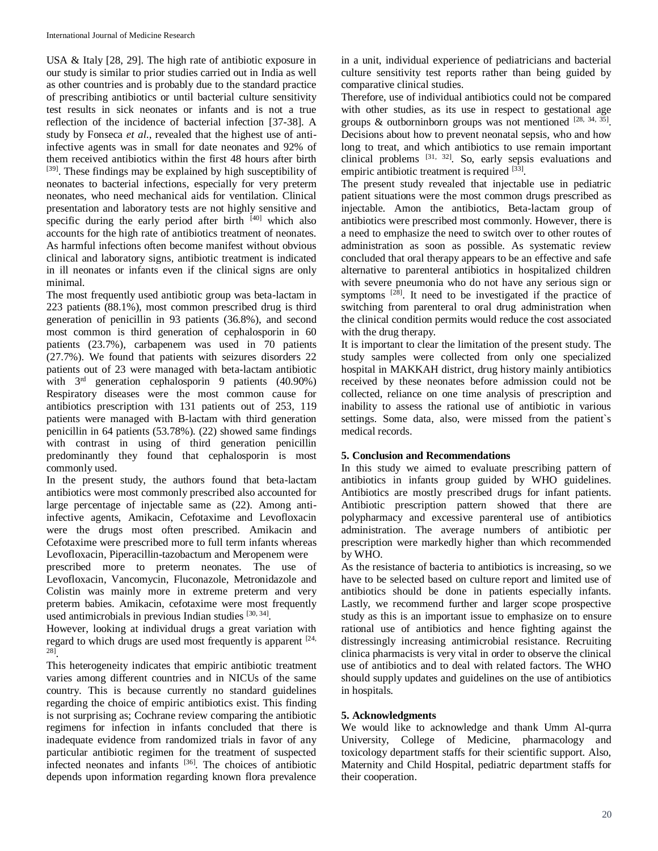USA & Italy [28, 29]. The high rate of antibiotic exposure in our study is similar to prior studies carried out in India as well as other countries and is probably due to the standard practice of prescribing antibiotics or until bacterial culture sensitivity test results in sick neonates or infants and is not a true reflection of the incidence of bacterial infection [37-38]. A study by Fonseca *et al*., revealed that the highest use of antiinfective agents was in small for date neonates and 92% of them received antibiotics within the first 48 hours after birth [39]. These findings may be explained by high susceptibility of neonates to bacterial infections, especially for very preterm neonates, who need mechanical aids for ventilation. Clinical presentation and laboratory tests are not highly sensitive and specific during the early period after birth  $[40]$  which also accounts for the high rate of antibiotics treatment of neonates. As harmful infections often become manifest without obvious clinical and laboratory signs, antibiotic treatment is indicated in ill neonates or infants even if the clinical signs are only minimal.

The most frequently used antibiotic group was beta-lactam in 223 patients (88.1%), most common prescribed drug is third generation of penicillin in 93 patients (36.8%), and second most common is third generation of cephalosporin in 60 patients (23.7%), carbapenem was used in 70 patients (27.7%). We found that patients with seizures disorders 22 patients out of 23 were managed with beta-lactam antibiotic with  $3<sup>rd</sup>$  generation cephalosporin 9 patients (40.90%) Respiratory diseases were the most common cause for antibiotics prescription with 131 patients out of 253, 119 patients were managed with B-lactam with third generation penicillin in 64 patients (53.78%). (22) showed same findings with contrast in using of third generation penicillin predominantly they found that cephalosporin is most commonly used.

In the present study, the authors found that beta-lactam antibiotics were most commonly prescribed also accounted for large percentage of injectable same as (22). Among antiinfective agents, Amikacin, Cefotaxime and Levofloxacin were the drugs most often prescribed. Amikacin and Cefotaxime were prescribed more to full term infants whereas Levofloxacin, Piperacillin-tazobactum and Meropenem were

prescribed more to preterm neonates. The use of Levofloxacin, Vancomycin, Fluconazole, Metronidazole and Colistin was mainly more in extreme preterm and very preterm babies. Amikacin, cefotaxime were most frequently used antimicrobials in previous Indian studies [30, 34].

However, looking at individual drugs a great variation with regard to which drugs are used most frequently is apparent  $[24, 1]$ 28] .

This heterogeneity indicates that empiric antibiotic treatment varies among different countries and in NICUs of the same country. This is because currently no standard guidelines regarding the choice of empiric antibiotics exist. This finding is not surprising as; Cochrane review comparing the antibiotic regimens for infection in infants concluded that there is inadequate evidence from randomized trials in favor of any particular antibiotic regimen for the treatment of suspected infected neonates and infants [36]. The choices of antibiotic depends upon information regarding known flora prevalence

in a unit, individual experience of pediatricians and bacterial culture sensitivity test reports rather than being guided by comparative clinical studies.

Therefore, use of individual antibiotics could not be compared with other studies, as its use in respect to gestational age groups & outborninborn groups was not mentioned  $[28, 34, 35]$ . Decisions about how to prevent neonatal sepsis, who and how long to treat, and which antibiotics to use remain important clinical problems [31, 32]. So, early sepsis evaluations and empiric antibiotic treatment is required [33].

The present study revealed that injectable use in pediatric patient situations were the most common drugs prescribed as injectable. Amon the antibiotics, Beta-lactam group of antibiotics were prescribed most commonly. However, there is a need to emphasize the need to switch over to other routes of administration as soon as possible. As systematic review concluded that oral therapy appears to be an effective and safe alternative to parenteral antibiotics in hospitalized children with severe pneumonia who do not have any serious sign or symptoms <sup>[28]</sup>. It need to be investigated if the practice of switching from parenteral to oral drug administration when the clinical condition permits would reduce the cost associated with the drug therapy.

It is important to clear the limitation of the present study. The study samples were collected from only one specialized hospital in MAKKAH district, drug history mainly antibiotics received by these neonates before admission could not be collected, reliance on one time analysis of prescription and inability to assess the rational use of antibiotic in various settings. Some data, also, were missed from the patient`s medical records.

# **5. Conclusion and Recommendations**

In this study we aimed to evaluate prescribing pattern of antibiotics in infants group guided by WHO guidelines. Antibiotics are mostly prescribed drugs for infant patients. Antibiotic prescription pattern showed that there are polypharmacy and excessive parenteral use of antibiotics administration. The average numbers of antibiotic per prescription were markedly higher than which recommended by WHO.

As the resistance of bacteria to antibiotics is increasing, so we have to be selected based on culture report and limited use of antibiotics should be done in patients especially infants. Lastly, we recommend further and larger scope prospective study as this is an important issue to emphasize on to ensure rational use of antibiotics and hence fighting against the distressingly increasing antimicrobial resistance. Recruiting clinica pharmacists is very vital in order to observe the clinical use of antibiotics and to deal with related factors. The WHO should supply updates and guidelines on the use of antibiotics in hospitals.

# **5. Acknowledgments**

We would like to acknowledge and thank Umm Al-qurra University, College of Medicine, pharmacology and toxicology department staffs for their scientific support. Also, Maternity and Child Hospital, pediatric department staffs for their cooperation.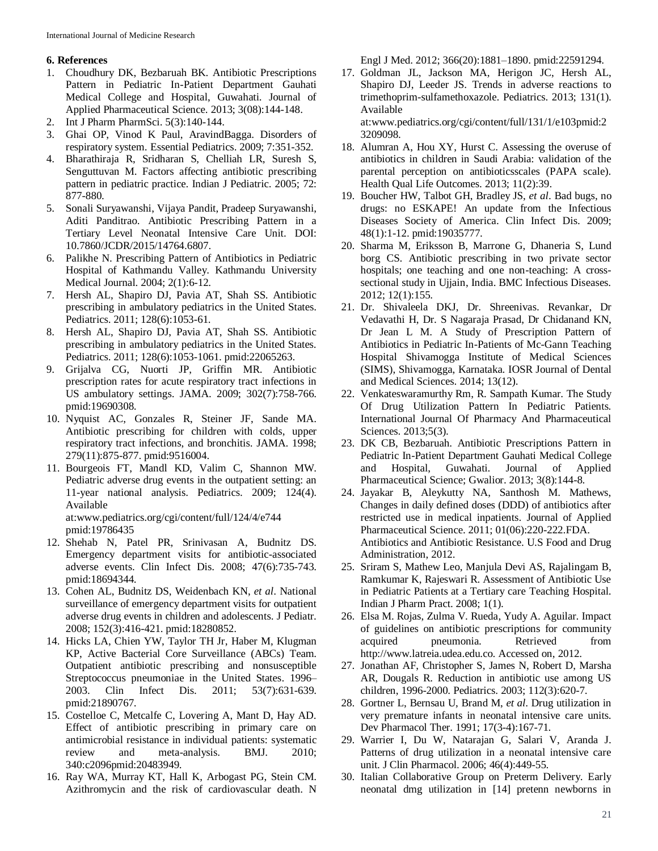# **6. References**

- 1. Choudhury DK, Bezbaruah BK. Antibiotic Prescriptions Pattern in Pediatric In-Patient Department Gauhati Medical College and Hospital, Guwahati. Journal of Applied Pharmaceutical Science. 2013; 3(08):144-148.
- 2. Int J Pharm PharmSci. 5(3):140-144.
- 3. Ghai OP, Vinod K Paul, AravindBagga. Disorders of respiratory system. Essential Pediatrics. 2009; 7:351-352.
- 4. Bharathiraja R, Sridharan S, Chelliah LR, Suresh S, Senguttuvan M. Factors affecting antibiotic prescribing pattern in pediatric practice. Indian J Pediatric. 2005; 72: 877-880.
- 5. Sonali Suryawanshi, Vijaya Pandit, Pradeep Suryawanshi, Aditi Panditrao. Antibiotic Prescribing Pattern in a Tertiary Level Neonatal Intensive Care Unit. DOI: 10.7860/JCDR/2015/14764.6807.
- 6. Palikhe N. Prescribing Pattern of Antibiotics in Pediatric Hospital of Kathmandu Valley. Kathmandu University Medical Journal. 2004; 2(1):6-12.
- 7. Hersh AL, Shapiro DJ, Pavia AT, Shah SS. Antibiotic prescribing in ambulatory pediatrics in the United States. Pediatrics. 2011; 128(6):1053-61.
- 8. Hersh AL, Shapiro DJ, Pavia AT, Shah SS. Antibiotic prescribing in ambulatory pediatrics in the United States. Pediatrics. 2011; 128(6):1053-1061. pmid:22065263.
- 9. Grijalva CG, Nuorti JP, Griffin MR. Antibiotic prescription rates for acute respiratory tract infections in US ambulatory settings. JAMA. 2009; 302(7):758-766. pmid:19690308.
- 10. Nyquist AC, Gonzales R, Steiner JF, Sande MA. Antibiotic prescribing for children with colds, upper respiratory tract infections, and bronchitis. JAMA. 1998; 279(11):875-877. pmid:9516004.
- 11. Bourgeois FT, Mandl KD, Valim C, Shannon MW. Pediatric adverse drug events in the outpatient setting: an 11-year national analysis. Pediatrics. 2009; 124(4). Available at:www.pediatrics.org/cgi/content/full/124/4/e744

pmid:19786435

- 12. Shehab N, Patel PR, Srinivasan A, Budnitz DS. Emergency department visits for antibiotic-associated adverse events. Clin Infect Dis. 2008; 47(6):735-743. pmid:18694344.
- 13. Cohen AL, Budnitz DS, Weidenbach KN, *et al*. National surveillance of emergency department visits for outpatient adverse drug events in children and adolescents. J Pediatr. 2008; 152(3):416-421. pmid:18280852.
- 14. Hicks LA, Chien YW, Taylor TH Jr, Haber M, Klugman KP, Active Bacterial Core Surveillance (ABCs) Team. Outpatient antibiotic prescribing and nonsusceptible Streptococcus pneumoniae in the United States. 1996– 2003. Clin Infect Dis. 2011; 53(7):631-639. pmid:21890767.
- 15. Costelloe C, Metcalfe C, Lovering A, Mant D, Hay AD. Effect of antibiotic prescribing in primary care on antimicrobial resistance in individual patients: systematic review and meta-analysis. BMJ. 2010; 340:c2096pmid:20483949.
- 16. Ray WA, Murray KT, Hall K, Arbogast PG, Stein CM. Azithromycin and the risk of cardiovascular death. N

Engl J Med. 2012; 366(20):1881–1890. pmid:22591294.

17. Goldman JL, Jackson MA, Herigon JC, Hersh AL, Shapiro DJ, Leeder JS. Trends in adverse reactions to trimethoprim-sulfamethoxazole. Pediatrics. 2013; 131(1). Available

at:www.pediatrics.org/cgi/content/full/131/1/e103pmid:2 3209098.

- 18. Alumran A, Hou XY, Hurst C. Assessing the overuse of antibiotics in children in Saudi Arabia: validation of the parental perception on antibioticsscales (PAPA scale). Health Qual Life Outcomes. 2013; 11(2):39.
- 19. Boucher HW, Talbot GH, Bradley JS, *et al*. Bad bugs, no drugs: no ESKAPE! An update from the Infectious Diseases Society of America. Clin Infect Dis. 2009; 48(1):1-12. pmid:19035777.
- 20. Sharma M, Eriksson B, Marrone G, Dhaneria S, Lund borg CS. Antibiotic prescribing in two private sector hospitals; one teaching and one non-teaching: A crosssectional study in Ujjain, India. BMC Infectious Diseases. 2012; 12(1):155.
- 21. Dr. Shivaleela DKJ, Dr. Shreenivas. Revankar, Dr Vedavathi H, Dr. S Nagaraja Prasad, Dr Chidanand KN, Dr Jean L M. A Study of Prescription Pattern of Antibiotics in Pediatric In-Patients of Mc-Gann Teaching Hospital Shivamogga Institute of Medical Sciences (SIMS), Shivamogga, Karnataka. IOSR Journal of Dental and Medical Sciences. 2014; 13(12).
- 22. Venkateswaramurthy Rm, R. Sampath Kumar. The Study Of Drug Utilization Pattern In Pediatric Patients. International Journal Of Pharmacy And Pharmaceutical Sciences. 2013;5(3).
- 23. DK CB, Bezbaruah. Antibiotic Prescriptions Pattern in Pediatric In-Patient Department Gauhati Medical College and Hospital, Guwahati. Journal of Applied Pharmaceutical Science; Gwalior. 2013; 3(8):144-8.
- 24. Jayakar B, Aleykutty NA, Santhosh M. Mathews, Changes in daily defined doses (DDD) of antibiotics after restricted use in medical inpatients. Journal of Applied Pharmaceutical Science. 2011; 01(06):220-222.FDA. Antibiotics and Antibiotic Resistance. U.S Food and Drug Administration, 2012.
- 25. Sriram S, Mathew Leo, Manjula Devi AS, Rajalingam B, Ramkumar K, Rajeswari R. Assessment of Antibiotic Use in Pediatric Patients at a Tertiary care Teaching Hospital. Indian J Pharm Pract. 2008; 1(1).
- 26. Elsa M. Rojas, Zulma V. Rueda, Yudy A. Aguilar. Impact of guidelines on antibiotic prescriptions for community acquired pneumonia. Retrieved from http://www.latreia.udea.edu.co. Accessed on, 2012.
- 27. Jonathan AF, Christopher S, James N, Robert D, Marsha AR, Dougals R. Reduction in antibiotic use among US children, 1996-2000. Pediatrics. 2003; 112(3):620-7.
- 28. Gortner L, Bernsau U, Brand M, *et al*. Drug utilization in very premature infants in neonatal intensive care units. Dev Pharmacol Ther. 1991; 17(3-4):167-71.
- 29. Warrier I, Du W, Natarajan G, Salari V, Aranda J. Patterns of drug utilization in a neonatal intensive care unit. J Clin Pharmacol. 2006; 46(4):449-55.
- 30. Italian Collaborative Group on Preterm Delivery. Early neonatal dmg utilization in [14] pretenn newborns in